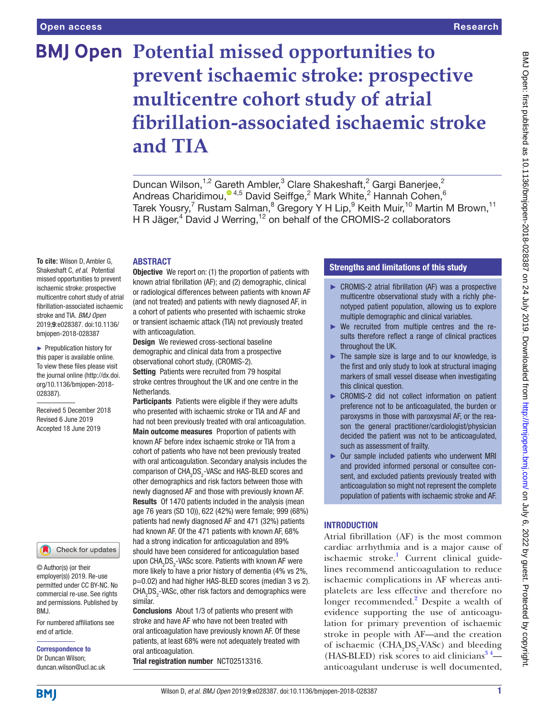# **BMJ Open Potential missed opportunities to prevent ischaemic stroke: prospective multicentre cohort study of atrial fibrillation-associated ischaemic stroke and TIA**

Duncan Wilson,<sup>1,2</sup> Gareth Ambler,<sup>3</sup> Clare Shakeshaft,<sup>2</sup> Gargi Banerjee,<sup>2</sup> Andreas Charidimou[,](http://orcid.org/0000-0001-5891-337X) $^{\circ}$ <sup>4,5</sup> David Seiffge,<sup>2</sup> Mark White,<sup>2</sup> Hannah Cohen,<sup>6</sup> Tarek Yousry,<sup>7</sup> Rustam Salman,<sup>8</sup> Gregory Y H Lip,<sup>9</sup> Keith Muir,<sup>10</sup> Martin M Brown,<sup>11</sup> H R Jäger,<sup>4</sup> David J Werring,<sup>12</sup> on behalf of the CROMIS-2 collaborators

## **ABSTRACT**

**To cite:** Wilson D, Ambler G, Shakeshaft C, *et al*. Potential missed opportunities to prevent ischaemic stroke: prospective multicentre cohort study of atrial fibrillation-associated ischaemic stroke and TIA. *BMJ Open* 2019;9:e028387. doi:10.1136/ bmjopen-2018-028387

► Prepublication history for this paper is available online. To view these files please visit the journal online (http://dx.doi. org/10.1136/bmjopen-2018- 028387).

Received 5 December 2018 Revised 6 June 2019 Accepted 18 June 2019



© Author(s) (or their employer(s)) 2019. Re-use permitted under CC BY-NC. No commercial re-use. See rights and permissions. Published by BMJ.

For numbered affiliations see end of article.

Correspondence to Dr Duncan Wilson; duncan.wilson@ucl.ac.uk **Objective** We report on: (1) the proportion of patients with known atrial fibrillation (AF); and (2) demographic, clinical or radiological differences between patients with known AF (and not treated) and patients with newly diagnosed AF, in a cohort of patients who presented with ischaemic stroke or transient ischaemic attack (TIA) not previously treated with anticoagulation.

Design We reviewed cross-sectional baseline demographic and clinical data from a prospective observational cohort study, (CROMIS-2). Setting Patients were recruited from 79 hospital stroke centres throughout the UK and one centre in the

**Netherlands** Participants Patients were eligible if they were adults

who presented with ischaemic stroke or TIA and AF and had not been previously treated with oral anticoagulation. Main outcome measures Proportion of patients with known AF before index ischaemic stroke or TIA from a cohort of patients who have not been previously treated with oral anticoagulation. Secondary analysis includes the comparison of CHA<sub>2</sub>DS<sub>2</sub>-VASc and HAS-BLED scores and other demographics and risk factors between those with newly diagnosed AF and those with previously known AF. Results Of 1470 patients included in the analysis (mean age 76 years (SD 10)), 622 (42%) were female; 999 (68%) patients had newly diagnosed AF and 471 (32%) patients had known AF. Of the 471 patients with known AF, 68% had a strong indication for anticoagulation and 89% should have been considered for anticoagulation based upon CHA<sub>2</sub>DS<sub>2</sub>-VASc score. Patients with known AF were more likely to have a prior history of dementia (4% vs 2%, p=0.02) and had higher HAS-BLED scores (median 3 vs 2). CHA<sub>2</sub>DS<sub>2</sub>-VASc, other risk factors and demographics were similar.

Conclusions About 1/3 of patients who present with stroke and have AF who have not been treated with oral anticoagulation have previously known AF. Of these patients, at least 68% were not adequately treated with oral anticoagulation.

Trial registration number <NCT02513316>.

# Strengths and limitations of this study

- ► CROMIS-2 atrial fibrillation (AF) was a prospective multicentre observational study with a richly phenotyped patient population, allowing us to explore multiple demographic and clinical variables.
- ► We recruited from multiple centres and the results therefore reflect a range of clinical practices throughout the UK.
- ► The sample size is large and to our knowledge, is the first and only study to look at structural imaging markers of small vessel disease when investigating this clinical question.
- ► CROMIS-2 did not collect information on patient preference not to be anticoagulated, the burden or paroxysms in those with paroxysmal AF, or the reason the general practitioner/cardiologist/physician decided the patient was not to be anticoagulated, such as assessment of frailty.
- ► Our sample included patients who underwent MRI and provided informed personal or consultee consent, and excluded patients previously treated with anticoagulation so might not represent the complete population of patients with ischaemic stroke and AF.

# **INTRODUCTION**

Atrial fibrillation (AF) is the most common cardiac arrhythmia and is a major cause of ischaemic stroke.<sup>[1](#page-5-0)</sup> Current clinical guidelines recommend anticoagulation to reduce ischaemic complications in AF whereas antiplatelets are less effective and therefore no longer recommended.<sup>2</sup> Despite a wealth of evidence supporting the use of anticoagulation for primary prevention of ischaemic stroke in people with AF—and the creation of ischaemic ( $\text{CHA}_2\text{DS}_2\text{-VASc}$ ) and bleeding (HAS-BLED) risk scores to aid clinicians<sup>34</sup> anticoagulant underuse is well documented,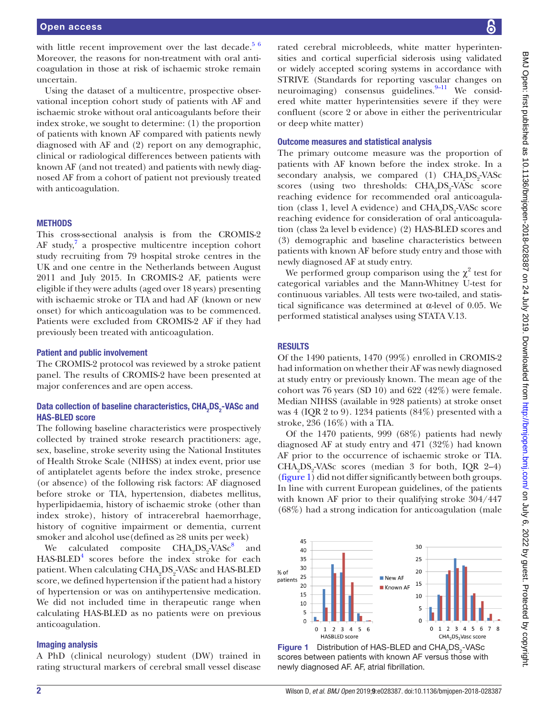with little recent improvement over the last decade.<sup>[5 6](#page-5-3)</sup> Moreover, the reasons for non-treatment with oral anticoagulation in those at risk of ischaemic stroke remain uncertain.

Using the dataset of a multicentre, prospective observational inception cohort study of patients with AF and ischaemic stroke without oral anticoagulants before their index stroke, we sought to determine: (1) the proportion of patients with known AF compared with patients newly diagnosed with AF and (2) report on any demographic, clinical or radiological differences between patients with known AF (and not treated) and patients with newly diagnosed AF from a cohort of patient not previously treated with anticoagulation.

#### **METHODS**

This cross-sectional analysis is from the CROMIS-2 AF study, $7$  a prospective multicentre inception cohort study recruiting from 79 hospital stroke centres in the UK and one centre in the Netherlands between August 2011 and July 2015. In CROMIS-2 AF, patients were eligible if they were adults (aged over 18 years) presenting with ischaemic stroke or TIA and had AF (known or new onset) for which anticoagulation was to be commenced. Patients were excluded from CROMIS-2 AF if they had previously been treated with anticoagulation.

#### Patient and public involvement

The CROMIS-2 protocol was reviewed by a stroke patient panel. The results of CROMIS-2 have been presented at major conferences and are open access.

### Data collection of baseline characteristics, CHA<sub>2</sub>DS<sub>2</sub>-VASc and HAS-BLED score

The following baseline characteristics were prospectively collected by trained stroke research practitioners: age, sex, baseline, stroke severity using the National Institutes of Health Stroke Scale (NIHSS) at index event, prior use of antiplatelet agents before the index stroke, presence (or absence) of the following risk factors: AF diagnosed before stroke or TIA, hypertension, diabetes mellitus, hyperlipidaemia, history of ischaemic stroke (other than index stroke), history of intracerebral haemorrhage, history of cognitive impairment or dementia, current smoker and alcohol use (defined as  $\geq$ 8 units per week)

We calculated composite  $\text{CHA}_{2}\text{DS}_{2}\text{-VASc}^8$  and HAS-BLED<sup>[4](#page-5-6)</sup> scores before the index stroke for each patient. When calculating CHA<sub>2</sub>DS<sub>2</sub>-VASc and HAS-BLED score, we defined hypertension if the patient had a history of hypertension or was on antihypertensive medication. We did not included time in therapeutic range when calculating HAS-BLED as no patients were on previous anticoagulation.

#### Imaging analysis

A PhD (clinical neurology) student (DW) trained in rating structural markers of cerebral small vessel disease

rated cerebral microbleeds, white matter hyperintensities and cortical superficial siderosis using validated or widely accepted scoring systems in accordance with STRIVE (Standards for reporting vascular changes on neuroimaging) consensus guidelines. $9-11$  We considered white matter hyperintensities severe if they were confluent (score 2 or above in either the periventricular or deep white matter)

#### Outcome measures and statistical analysis

The primary outcome measure was the proportion of patients with AF known before the index stroke. In a secondary analysis, we compared (1)  $\text{CHA}_{2}\text{DS}_{2}\text{-VASc}$ scores (using two thresholds:  $\text{CHA}_2\text{DS}_2\text{-VASC}$  score reaching evidence for recommended oral anticoagulation (class 1, level A evidence) and  $\mathrm{CHA_{2}DS_{2}}$ -VAS $\mathrm{c}$  score reaching evidence for consideration of oral anticoagulation (class 2a level b evidence) (2) HAS-BLED scores and (3) demographic and baseline characteristics between patients with known AF before study entry and those with newly diagnosed AF at study entry.

We performed group comparison using the  $\chi^2$  test for categorical variables and the Mann-Whitney U-test for continuous variables. All tests were two-tailed, and statistical significance was determined at  $\alpha$ -level of 0.05. We performed statistical analyses using STATA V.13.

#### **RESULTS**

Of the 1490 patients, 1470 (99%) enrolled in CROMIS-2 had information on whether their AF was newly diagnosed at study entry or previously known. The mean age of the cohort was 76 years (SD 10) and 622 (42%) were female. Median NIHSS (available in 928 patients) at stroke onset was 4 (IQR 2 to 9). 1234 patients (84%) presented with a stroke, 236 (16%) with a TIA.

Of the 1470 patients, 999 (68%) patients had newly diagnosed AF at study entry and 471 (32%) had known AF prior to the occurrence of ischaemic stroke or TIA.  $CHA<sub>2</sub>DS<sub>2</sub>-VASc scores (median 3 for both, IQR 2–4)$ [\(figure](#page-1-0) 1) did not differ significantly between both groups. In line with current European guidelines, of the patients with known AF prior to their qualifying stroke 304/447 (68%) had a strong indication for anticoagulation (male



<span id="page-1-0"></span>**Figure 1** Distribution of HAS-BLED and  $CHA<sub>2</sub>DS<sub>2</sub>$ -VASc scores between patients with known AF versus those with newly diagnosed AF. AF, atrial fibrillation.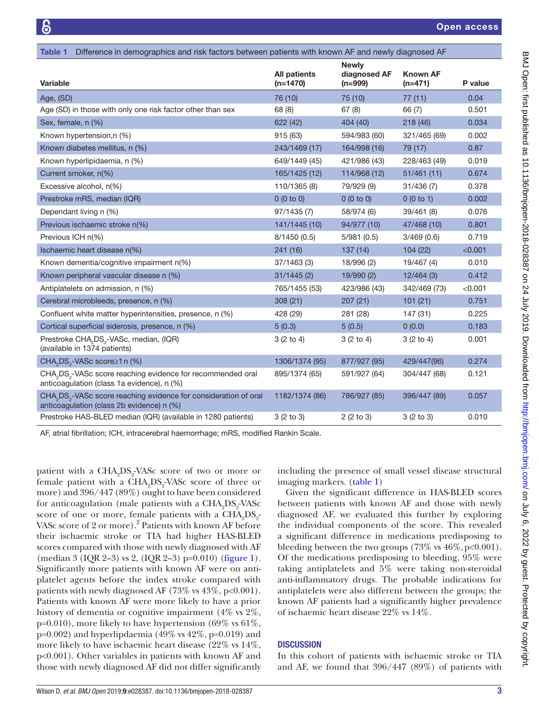<span id="page-2-0"></span>

| Difference in demographics and risk factors between patients with known AF and newly diagnosed AF<br><b>Table 1</b>                   |                                   |                                           |                              |         |
|---------------------------------------------------------------------------------------------------------------------------------------|-----------------------------------|-------------------------------------------|------------------------------|---------|
| <b>Variable</b>                                                                                                                       | <b>All patients</b><br>$(n=1470)$ | <b>Newly</b><br>diagnosed AF<br>$(n=999)$ | <b>Known AF</b><br>$(n=471)$ | P value |
| Age, (SD)                                                                                                                             | 76 (10)                           | 75 (10)                                   | 77(11)                       | 0.04    |
| Age (SD) in those with only one risk factor other than sex                                                                            | 68 (8)                            | 67(8)                                     | 66 (7)                       | 0.501   |
| Sex, female, n (%)                                                                                                                    | 622 (42)                          | 404 (40)                                  | 218 (46)                     | 0.034   |
| Known hypertension,n (%)                                                                                                              | 915 (63)                          | 594/983 (60)                              | 321/465 (69)                 | 0.002   |
| Known diabetes mellitus, n (%)                                                                                                        | 243/1469 (17)                     | 164/998 (16)                              | 79 (17)                      | 0.87    |
| Known hyperlipidaemia, n (%)                                                                                                          | 649/1449 (45)                     | 421/986 (43)                              | 228/463 (49)                 | 0.019   |
| Current smoker, n(%)                                                                                                                  | 165/1425 (12)                     | 114/968 (12)                              | 51/461(11)                   | 0.674   |
| Excessive alcohol, n(%)                                                                                                               | 110/1365 (8)                      | 79/929 (9)                                | 31/436(7)                    | 0.378   |
| Prestroke mRS, median (IQR)                                                                                                           | 0(0 to 0)                         | 0(0 to 0)                                 | 0(0 to 1)                    | 0.002   |
| Dependant living n (%)                                                                                                                | 97/1435 (7)                       | 58/974 (6)                                | 39/461 (8)                   | 0.076   |
| Previous ischaemic stroke n(%)                                                                                                        | 141/1445 (10)                     | 94/977 (10)                               | 47/468 (10)                  | 0.801   |
| Previous ICH n(%)                                                                                                                     | 8/1450(0.5)                       | 5/981(0.5)                                | 3/469(0.6)                   | 0.719   |
| Ischaemic heart disease n(%)                                                                                                          | 241(16)                           | 137(14)                                   | 104(22)                      | < 0.001 |
| Known dementia/cognitive impairment n(%)                                                                                              | 37/1463(3)                        | 18/996 (2)                                | 19/467 (4)                   | 0.010   |
| Known peripheral vascular disease n (%)                                                                                               | 31/1445(2)                        | 19/990 (2)                                | 12/464(3)                    | 0.412   |
| Antiplatelets on admission, n (%)                                                                                                     | 765/1455 (53)                     | 423/986 (43)                              | 342/469 (73)                 | < 0.001 |
| Cerebral microbleeds, presence, n (%)                                                                                                 | 308(21)                           | 207(21)                                   | 101(21)                      | 0.751   |
| Confluent white matter hyperintensities, presence, n (%)                                                                              | 428 (29)                          | 281 (28)                                  | 147 (31)                     | 0.225   |
| Cortical superficial siderosis, presence, n (%)                                                                                       | 5(0.3)                            | 5(0.5)                                    | 0(0.0)                       | 0.183   |
| Prestroke CHA <sub>2</sub> DS <sub>2</sub> -VASc, median, (IQR)<br>(available in 1374 patients)                                       | 3(2 to 4)                         | 3(2 to 4)                                 | 3(2 to 4)                    | 0.001   |
| CHA <sub>2</sub> DS <sub>2</sub> -VASc score≥1 n (%)                                                                                  | 1306/1374 (95)                    | 877/927 (95)                              | 429/447(96)                  | 0.274   |
| CHA <sub>2</sub> DS <sub>2</sub> -VASc score reaching evidence for recommended oral<br>anticoagulation (class 1a evidence), n (%)     | 895/1374 (65)                     | 591/927 (64)                              | 304/447 (68)                 | 0.121   |
| CHA <sub>2</sub> DS <sub>2</sub> -VASc score reaching evidence for consideration of oral<br>anticoagulation (class 2b evidence) n (%) | 1182/1374 (86)                    | 786/927 (85)                              | 396/447 (89)                 | 0.057   |
| Prestroke HAS-BLED median (IQR) (available in 1280 patients)                                                                          | 3(2 to 3)                         | 2(2 to 3)                                 | 3(2 to 3)                    | 0.010   |
|                                                                                                                                       |                                   |                                           |                              |         |

AF, atrial fibrillation; ICH, intracerebral haemorrhage; mRS, modified Rankin Scale.

patient with a CHA<sub>2</sub>DS<sub>2</sub>-VASc score of two or more or female patient with a CHA<sub>2</sub>DS<sub>2</sub>-VASc score of three or more) and 396/447 (89%) ought to have been considered for anticoagulation (male patients with a  $\mathrm{CHA}_{2}\mathrm{DS}_{2}\mathrm{VASC}$ score of one or more, female patients with a  $\text{CHA}_2\text{DS}_2$ -VASc score of [2](#page-5-1) or more).<sup>2</sup> Patients with known AF before their ischaemic stroke or TIA had higher HAS-BLED scores compared with those with newly diagnosed with AF (median 3 (IQR 2–3) vs 2, (IQR 2–3) p=0.010) ([figure](#page-1-0) 1). Significantly more patients with known AF were on antiplatelet agents before the index stroke compared with patients with newly diagnosed AF  $(73\% \text{ vs } 43\%, \text{ p} < 0.001)$ . Patients with known AF were more likely to have a prior history of dementia or cognitive impairment (4% vs 2%,  $p=0.010$ , more likely to have hypertension (69% vs 61%,  $p=0.002$ ) and hyperlipdaemia (49% vs 42%, p=0.019) and more likely to have ischaemic heart disease (22% vs 14%, p<0.001). Other variables in patients with known AF and those with newly diagnosed AF did not differ significantly

including the presence of small vessel disease structural imaging markers. ([table](#page-2-0) 1)

Given the significant difference in HAS-BLED scores between patients with known AF and those with newly diagnosed AF, we evaluated this further by exploring the individual components of the score. This revealed a significant difference in medications predisposing to bleeding between the two groups  $(73\% \text{ vs } 46\%, \text{p} < 0.001)$ . Of the medications predisposing to bleeding, 95% were taking antiplatelets and 5% were taking non-steroidal anti-inflammatory drugs. The probable indications for antiplatelets were also different between the groups; the known AF patients had a significantly higher prevalence of ischaemic heart disease 22% vs 14%.

## **DISCUSSION**

In this cohort of patients with ischaemic stroke or TIA and AF, we found that 396/447 (89%) of patients with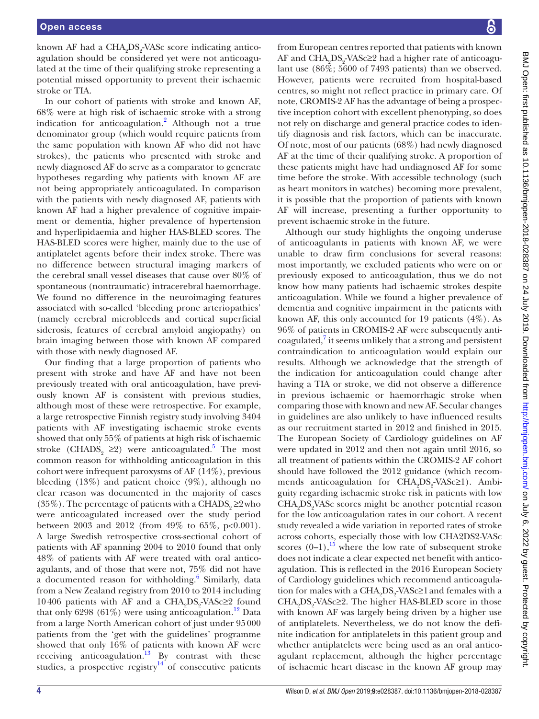known AF had a CHA<sub>2</sub>DS<sub>2</sub>-VASc score indicating anticoagulation should be considered yet were not anticoagulated at the time of their qualifying stroke representing a potential missed opportunity to prevent their ischaemic stroke or TIA.

In our cohort of patients with stroke and known AF, 68% were at high risk of ischaemic stroke with a strong indication for anticoagulation.<sup>[2](#page-5-1)</sup> Although not a true denominator group (which would require patients from the same population with known AF who did not have strokes), the patients who presented with stroke and newly diagnosed AF do serve as a comparator to generate hypotheses regarding why patients with known AF are not being appropriately anticoagulated. In comparison with the patients with newly diagnosed AF, patients with known AF had a higher prevalence of cognitive impairment or dementia, higher prevalence of hypertension and hyperlipidaemia and higher HAS-BLED scores. The HAS-BLED scores were higher, mainly due to the use of antiplatelet agents before their index stroke. There was no difference between structural imaging markers of the cerebral small vessel diseases that cause over 80% of spontaneous (nontraumatic) intracerebral haemorrhage. We found no difference in the neuroimaging features associated with so-called 'bleeding prone arteriopathies' (namely cerebral microbleeds and cortical superficial siderosis, features of cerebral amyloid angiopathy) on brain imaging between those with known AF compared with those with newly diagnosed AF.

Our finding that a large proportion of patients who present with stroke and have AF and have not been previously treated with oral anticoagulation, have previously known AF is consistent with previous studies, although most of these were retrospective. For example, a large retrospective Finnish registry study involving 3404 patients with AF investigating ischaemic stroke events showed that only 55% of patients at high risk of ischaemic stroke (CHADS<sub>2</sub> ≥2) were anticoagulated.<sup>[5](#page-5-3)</sup> The most common reason for withholding anticoagulation in this cohort were infrequent paroxysms of AF (14%), previous bleeding  $(13\%)$  and patient choice  $(9\%)$ , although no clear reason was documented in the majority of cases (35%). The percentage of patients with a CHADS<sub>2</sub> ≥2who were anticoagulated increased over the study period between 2003 and 2012 (from 49% to 65%, p<0.001). A large Swedish retrospective cross-sectional cohort of patients with AF spanning 2004 to 2010 found that only 48% of patients with AF were treated with oral anticoagulants, and of those that were not, 75% did not have a documented reason for withholding.<sup>[6](#page-5-8)</sup> Similarly, data from a New Zealand registry from 2010 to 2014 including 10406 patients with AF and a  $\text{CHA}_2\text{DS}_2\text{-}\text{VASc} \geq 2$  found that only 6298 (61%) were using anticoagulation.<sup>12</sup> Data from a large North American cohort of just under 95000 patients from the 'get with the guidelines' programme showed that only 16% of patients with known AF were receiving anticoagulation.<sup>13</sup> By contrast with these studies, a prospective registry $14$  of consecutive patients

from European centres reported that patients with known AF and CHA<sub>2</sub>DS<sub>2</sub>-VASc≥2 had a higher rate of anticoagulant use (86%; 5600 of 7493 patients) than we observed. However, patients were recruited from hospital-based centres, so might not reflect practice in primary care. Of note, CROMIS-2 AF has the advantage of being a prospective inception cohort with excellent phenotyping, so does not rely on discharge and general practice codes to identify diagnosis and risk factors, which can be inaccurate. Of note, most of our patients (68%) had newly diagnosed AF at the time of their qualifying stroke. A proportion of these patients might have had undiagnosed AF for some time before the stroke. With accessible technology (such as heart monitors in watches) becoming more prevalent, it is possible that the proportion of patients with known AF will increase, presenting a further opportunity to prevent ischaemic stroke in the future.

Although our study highlights the ongoing underuse of anticoagulants in patients with known AF, we were unable to draw firm conclusions for several reasons: most importantly, we excluded patients who were on or previously exposed to anticoagulation, thus we do not know how many patients had ischaemic strokes despite anticoagulation. While we found a higher prevalence of dementia and cognitive impairment in the patients with known AF, this only accounted for 19 patients  $(4\%)$ . As 96% of patients in CROMIS-2 AF were subsequently anticoagulated,<sup>7</sup> it seems unlikely that a strong and persistent contraindication to anticoagulation would explain our results. Although we acknowledge that the strength of the indication for anticoagulation could change after having a TIA or stroke, we did not observe a difference in previous ischaemic or haemorrhagic stroke when comparing those with known and new AF. Secular changes in guidelines are also unlikely to have influenced results as our recruitment started in 2012 and finished in 2015. The European Society of Cardiology guidelines on AF were updated in 2012 and then not again until 2016, so all treatment of patients within the CROMIS-2 AF cohort should have followed the 2012 guidance (which recommends anticoagulation for CHA<sub>2</sub>DS<sub>2</sub>-VASc≥1). Ambiguity regarding ischaemic stroke risk in patients with low CHA<sub>2</sub>DS<sub>2</sub>VASc scores might be another potential reason for the low anticoagulation rates in our cohort. A recent study revealed a wide variation in reported rates of stroke across cohorts, especially those with low CHA2DS2-VASc scores  $(0-1)$ ,<sup>15</sup> where the low rate of subsequent stroke does not indicate a clear expected net benefit with anticoagulation. This is reflected in the 2016 European Society of Cardiology guidelines which recommend anticoagulation for males with a CHA<sub>2</sub>DS<sub>2</sub>-VASc≥1 and females with a  $CHA<sub>2</sub>DS<sub>2</sub>·VASc<sub>2</sub>2.$  The higher HAS-BLED score in those with known AF was largely being driven by a higher use of antiplatelets. Nevertheless, we do not know the definite indication for antiplatelets in this patient group and whether antiplatelets were being used as an oral anticoagulant replacement, although the higher percentage of ischaemic heart disease in the known AF group may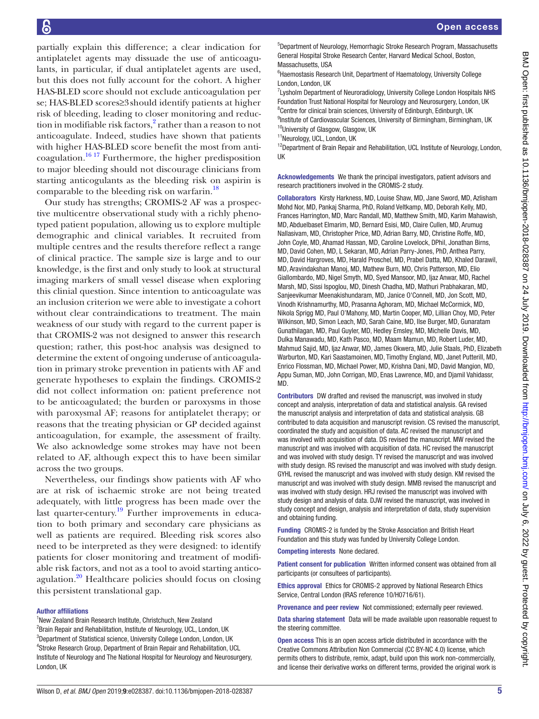partially explain this difference; a clear indication for antiplatelet agents may dissuade the use of anticoagulants, in particular, if dual antiplatelet agents are used, but this does not fully account for the cohort. A higher HAS-BLED score should not exclude anticoagulation per se; HAS-BLED scores≥3should identify patients at higher risk of bleeding, leading to closer monitoring and reduc-tion in modifiable risk factors,<sup>[2](#page-5-1)</sup> rather than a reason to not anticoagulate. Indeed, studies have shown that patients with higher HAS-BLED score benefit the most from anticoagulation.<sup>16 17</sup> Furthermore, the higher predisposition to major bleeding should not discourage clinicians from starting anticogulants as the bleeding risk on aspirin is comparable to the bleeding risk on warfarin.<sup>18</sup>

Our study has strengths; CROMIS-2 AF was a prospective multicentre observational study with a richly phenotyped patient population, allowing us to explore multiple demographic and clinical variables. It recruited from multiple centres and the results therefore reflect a range of clinical practice. The sample size is large and to our knowledge, is the first and only study to look at structural imaging markers of small vessel disease when exploring this clinial question. Since intention to anticoagulate was an inclusion criterion we were able to investigate a cohort without clear contraindications to treatment. The main weakness of our study with regard to the current paper is that CROMIS-2 was not designed to answer this research question; rather, this post-hoc analysis was designed to determine the extent of ongoing underuse of anticoagulation in primary stroke prevention in patients with AF and generate hypotheses to explain the findings. CROMIS-2 did not collect information on: patient preference not to be anticoagulated; the burden or paroxysms in those with paroxysmal AF; reasons for antiplatelet therapy; or reasons that the treating physician or GP decided against anticoagulation, for example, the assessment of frailty. We also acknowledge some strokes may have not been related to AF, although expect this to have been similar across the two groups.

Nevertheless, our findings show patients with AF who are at risk of ischaemic stroke are not being treated adequately, with little progress has been made over the last quarter-century.<sup>19</sup> Further improvements in education to both primary and secondary care physicians as well as patients are required. Bleeding risk scores also need to be interpreted as they were designed: to identify patients for closer monitoring and treatment of modifiable risk factors, and not as a tool to avoid starting anticoagulation.<sup>20</sup> Healthcare policies should focus on closing this persistent translational gap.

#### Author affiliations

<sup>1</sup>New Zealand Brain Research Institute, Christchuch, New Zealand <sup>2</sup>Brain Repair and Rehabilitation, Institute of Neurology, UCL, London, UK <sup>3</sup>Department of Statistical science, University College London, London, UK 4 Stroke Research Group, Department of Brain Repair and Rehabilitation, UCL Institute of Neurology and The National Hospital for Neurology and Neurosurgery, London, UK

5 Department of Neurology, Hemorrhagic Stroke Research Program, Massachusetts General Hospital Stroke Research Center, Harvard Medical School, Boston, Massachusetts, USA

<sup>6</sup> Haemostasis Research Unit, Department of Haematology, University College London, London, UK

<sup>7</sup> Lysholm Department of Neuroradiology, University College London Hospitals NHS Foundation Trust National Hospital for Neurology and Neurosurgery, London, UK <sup>8</sup>Centre for clinical brain sciences, University of Edinburgh, Edinburgh, UK <sup>9</sup>Institute of Cardiovascular Sciences, University of Birmingham, Birmingham, UK <sup>10</sup>University of Glasgow, Glasgow, UK

11Neurology, UCL, London, UK

<sup>12</sup>Department of Brain Repair and Rehabilitation, UCL Institute of Neurology, London, UK

Acknowledgements We thank the principal investigators, patient advisors and research practitioners involved in the CROMIS-2 study.

Collaborators Kirsty Harkness, MD, Louise Shaw, MD, Jane Sword, MD, Azlisham Mohd Nor, MD, Pankaj Sharma, PhD, Roland Veltkamp, MD, Deborah Kelly, MD, Frances Harrington, MD, Marc Randall, MD, Matthew Smith, MD, Karim Mahawish, MD, Abduelbaset Elmarim, MD, Bernard Esisi, MD, Claire Cullen, MD, Arumug Nallasivam, MD, Christopher Price, MD, Adrian Barry, MD, Christine Roffe, MD, John Coyle, MD, Ahamad Hassan, MD, Caroline Lovelock, DPhil, Jonathan Birns, MD, David Cohen, MD, L Sekaran, MD, Adrian Parry-Jones, PhD, Anthea Parry, MD, David Hargroves, MD, Harald Proschel, MD, Prabel Datta, MD, Khaled Darawil, MD, Aravindakshan Manoj, MD, Mathew Burn, MD, Chris Patterson, MD, Elio Giallombardo, MD, Nigel Smyth, MD, Syed Mansoor, MD, Ijaz Anwar, MD, Rachel Marsh, MD, Sissi Ispoglou, MD, Dinesh Chadha, MD, Mathuri Prabhakaran, MD, Sanjeevikumar Meenakishundaram, MD, Janice O'Connell, MD, Jon Scott, MD, Vinodh Krishnamurthy, MD, Prasanna Aghoram, MD, Michael McCormick, MD, Nikola Sprigg MD, Paul O'Mahony, MD, Martin Cooper, MD, Lillian Choy, MD, Peter Wilkinson, MD, Simon Leach, MD, Sarah Caine, MD, Ilse Burger, MD, Gunaratam Gunathilagan, MD, Paul Guyler, MD, Hedley Emsley, MD, Michelle Davis, MD, Dulka Manawadu, MD, Kath Pasco, MD, Maam Mamun, MD, Robert Luder, MD, Mahmud Sajid, MD, Ijaz Anwar, MD, James Okwera, MD, Julie Staals, PhD, Elizabeth Warburton, MD, Kari Saastamoinen, MD, Timothy England, MD, Janet Putterill, MD, Enrico Flossman, MD, Michael Power, MD, Krishna Dani, MD, David Mangion, MD, Appu Suman, MD, John Corrigan, MD, Enas Lawrence, MD, and Djamil Vahidassr, MD.

Contributors DW drafted and revised the manuscript, was involved in study concept and analysis, interpretation of data and statistical analysis. GA revised the manuscript analysis and interpretation of data and statistical analysis. GB contributed to data acquisition and manuscript revision. CS revised the manuscript, coordinated the study and acquisition of data. AC revised the manuscript and was involved with acquisition of data. DS revised the manuscript. MW revised the manuscript and was involved with acquisition of data. HC revised the manuscript and was involved with study design. TY revised the manuscript and was involved with study design. RS revised the manuscript and was involved with study design. GYHL revised the manuscript and was involved with study design. KM revised the manuscript and was involved with study design. MMB revised the manuscript and was involved with study design. HRJ revised the manuscript was involved with study design and analysis of data. DJW revised the manuscript, was involved in study concept and design, analysis and interpretation of data, study supervision and obtaining funding.

Funding CROMIS-2 is funded by the Stroke Association and British Heart Foundation and this study was funded by University College London.

Competing interests None declared.

Patient consent for publication Written informed consent was obtained from all participants (or consultees of participants).

Ethics approval Ethics for CROMIS-2 approved by National Research Ethics Service, Central London (IRAS reference 10/H0716/61).

Provenance and peer review Not commissioned; externally peer reviewed.

Data sharing statement Data will be made available upon reasonable request to the steering committee.

Open access This is an open access article distributed in accordance with the Creative Commons Attribution Non Commercial (CC BY-NC 4.0) license, which permits others to distribute, remix, adapt, build upon this work non-commercially, and license their derivative works on different terms, provided the original work is